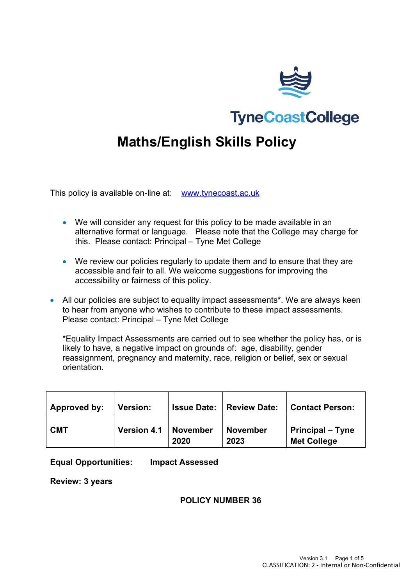

**TyneCoastCollege** 

# **Maths/English Skills Policy**

This policy is available on-line at: [www.tynecoast.ac.uk](http://www.tynecoast.ac.uk/)

- We will consider any request for this policy to be made available in an alternative format or language. Please note that the College may charge for this. Please contact: Principal – Tyne Met College
- We review our policies regularly to update them and to ensure that they are accessible and fair to all. We welcome suggestions for improving the accessibility or fairness of this policy.
- All our policies are subject to equality impact assessments**\***. We are always keen to hear from anyone who wishes to contribute to these impact assessments. Please contact: Principal – Tyne Met College

\*Equality Impact Assessments are carried out to see whether the policy has, or is likely to have, a negative impact on grounds of: age, disability, gender reassignment, pregnancy and maternity, race, religion or belief, sex or sexual orientation.

| Approved by: | <b>Version:</b>    | <b>Issue Date:</b> | <b>Review Date:</b>     | <b>Contact Person:</b>                        |
|--------------|--------------------|--------------------|-------------------------|-----------------------------------------------|
| <b>CMT</b>   | <b>Version 4.1</b> | November<br>2020   | <b>November</b><br>2023 | <b>Principal – Tyne</b><br><b>Met College</b> |

#### **Equal Opportunities: Impact Assessed**

**Review: 3 years**

#### **POLICY NUMBER 36**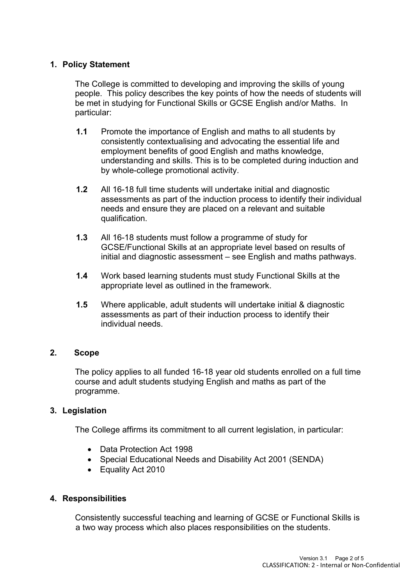# **1. Policy Statement**

The College is committed to developing and improving the skills of young people. This policy describes the key points of how the needs of students will be met in studying for Functional Skills or GCSE English and/or Maths. In particular:

- **1.1** Promote the importance of English and maths to all students by consistently contextualising and advocating the essential life and employment benefits of good English and maths knowledge, understanding and skills. This is to be completed during induction and by whole-college promotional activity.
- **1.2** All 16-18 full time students will undertake initial and diagnostic assessments as part of the induction process to identify their individual needs and ensure they are placed on a relevant and suitable qualification.
- **1.3** All 16-18 students must follow a programme of study for GCSE/Functional Skills at an appropriate level based on results of initial and diagnostic assessment – see English and maths pathways.
- **1.4** Work based learning students must study Functional Skills at the appropriate level as outlined in the framework.
- **1.5** Where applicable, adult students will undertake initial & diagnostic assessments as part of their induction process to identify their individual needs.

## **2. Scope**

The policy applies to all funded 16-18 year old students enrolled on a full time course and adult students studying English and maths as part of the programme.

## **3. Legislation**

The College affirms its commitment to all current legislation, in particular:

- Data Protection Act 1998
- Special Educational Needs and Disability Act 2001 (SENDA)
- Equality Act 2010

## **4. Responsibilities**

Consistently successful teaching and learning of GCSE or Functional Skills is a two way process which also places responsibilities on the students.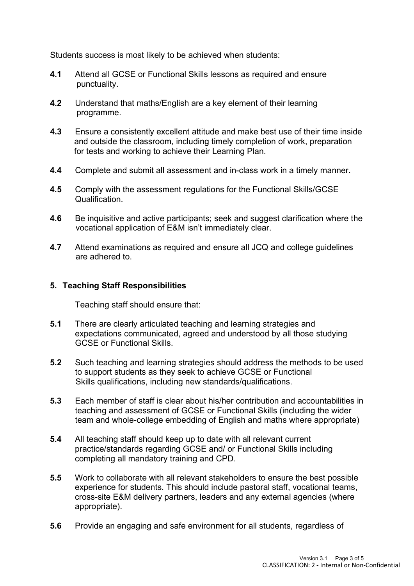Students success is most likely to be achieved when students:

- **4.1** Attend all GCSE or Functional Skills lessons as required and ensure punctuality.
- **4.2** Understand that maths/English are a key element of their learning programme.
- **4.3** Ensure a consistently excellent attitude and make best use of their time inside and outside the classroom, including timely completion of work, preparation for tests and working to achieve their Learning Plan.
- **4.4** Complete and submit all assessment and in-class work in a timely manner.
- **4.5** Comply with the assessment regulations for the Functional Skills/GCSE Qualification.
- **4.6** Be inquisitive and active participants; seek and suggest clarification where the vocational application of E&M isn't immediately clear.
- **4.7** Attend examinations as required and ensure all JCQ and college guidelines are adhered to.

## **5. Teaching Staff Responsibilities**

Teaching staff should ensure that:

- **5.1** There are clearly articulated teaching and learning strategies and expectations communicated, agreed and understood by all those studying GCSE or Functional Skills.
- **5.2** Such teaching and learning strategies should address the methods to be used to support students as they seek to achieve GCSE or Functional Skills qualifications, including new standards/qualifications.
- **5.3** Each member of staff is clear about his/her contribution and accountabilities in teaching and assessment of GCSE or Functional Skills (including the wider team and whole-college embedding of English and maths where appropriate)
- **5.4** All teaching staff should keep up to date with all relevant current practice/standards regarding GCSE and/ or Functional Skills including completing all mandatory training and CPD.
- **5.5** Work to collaborate with all relevant stakeholders to ensure the best possible experience for students. This should include pastoral staff, vocational teams, cross-site E&M delivery partners, leaders and any external agencies (where appropriate).
- **5.6** Provide an engaging and safe environment for all students, regardless of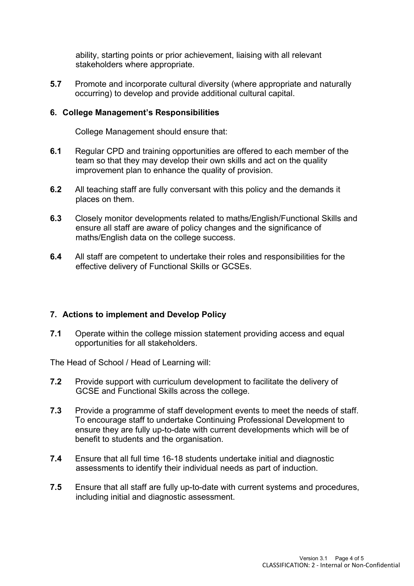ability, starting points or prior achievement, liaising with all relevant stakeholders where appropriate.

**5.7** Promote and incorporate cultural diversity (where appropriate and naturally occurring) to develop and provide additional cultural capital.

#### **6. College Management's Responsibilities**

College Management should ensure that:

- **6.1** Regular CPD and training opportunities are offered to each member of the team so that they may develop their own skills and act on the quality improvement plan to enhance the quality of provision.
- **6.2** All teaching staff are fully conversant with this policy and the demands it places on them.
- **6.3** Closely monitor developments related to maths/English/Functional Skills and ensure all staff are aware of policy changes and the significance of maths/English data on the college success.
- **6.4** All staff are competent to undertake their roles and responsibilities for the effective delivery of Functional Skills or GCSEs.

## **7. Actions to implement and Develop Policy**

**7.1** Operate within the college mission statement providing access and equal opportunities for all stakeholders.

The Head of School / Head of Learning will:

- **7.2** Provide support with curriculum development to facilitate the delivery of GCSE and Functional Skills across the college.
- **7.3** Provide a programme of staff development events to meet the needs of staff. To encourage staff to undertake Continuing Professional Development to ensure they are fully up-to-date with current developments which will be of benefit to students and the organisation.
- **7.4** Ensure that all full time 16-18 students undertake initial and diagnostic assessments to identify their individual needs as part of induction.
- **7.5** Ensure that all staff are fully up-to-date with current systems and procedures, including initial and diagnostic assessment.